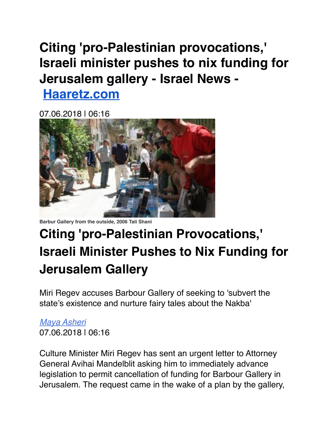## **Citing 'pro-Palestinian provocations,' Israeli minister pushes to nix funding for Jerusalem gallery - Israel News -**

**[Haaretz.com](http://haaretz.com/)**

07.06.2018 | 06:16



**Barbur Gallery from the outside, 2006 Tali Shani**

## **Citing 'pro-Palestinian Provocations,' Israeli Minister Pushes to Nix Funding for Jerusalem Gallery**

Miri Regev accuses Barbour Gallery of seeking to 'subvert the state's existence and nurture fairy tales about the Nakba'

## *[Maya Asheri](https://www.haaretz.com/amp/misc/writers/1.5603168)* 07.06.2018 | 06:16

Culture Minister Miri Regev has sent an urgent letter to Attorney General Avihai Mandelblit asking him to immediately advance legislation to permit cancellation of funding for Barbour Gallery in Jerusalem. The request came in the wake of a plan by the gallery,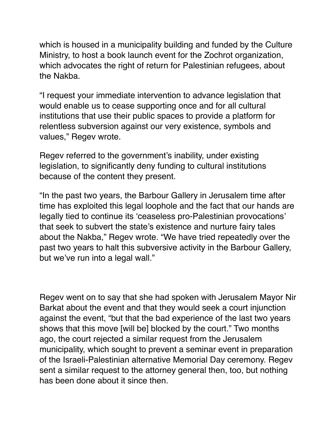which is housed in a municipality building and funded by the Culture Ministry, to host a book launch event for the Zochrot organization, which advocates the right of return for Palestinian refugees, about the Nakba.

"I request your immediate intervention to advance legislation that would enable us to cease supporting once and for all cultural institutions that use their public spaces to provide a platform for relentless subversion against our very existence, symbols and values," Regev wrote.

Regev referred to the government's inability, under existing legislation, to significantly deny funding to cultural institutions because of the content they present.

"In the past two years, the Barbour Gallery in Jerusalem time after time has exploited this legal loophole and the fact that our hands are legally tied to continue its 'ceaseless pro-Palestinian provocations' that seek to subvert the state's existence and nurture fairy tales about the Nakba," Regev wrote. "We have tried repeatedly over the past two years to halt this subversive activity in the Barbour Gallery, but we've run into a legal wall."

Regev went on to say that she had spoken with Jerusalem Mayor Nir Barkat about the event and that they would seek a court injunction against the event, "but that the bad experience of the last two years shows that this move [will be] blocked by the court." Two months ago, the court rejected a similar request from the Jerusalem municipality, which sought to prevent a seminar event in preparation of the Israeli-Palestinian alternative Memorial Day ceremony. Regev sent a similar request to the attorney general then, too, but nothing has been done about it since then.